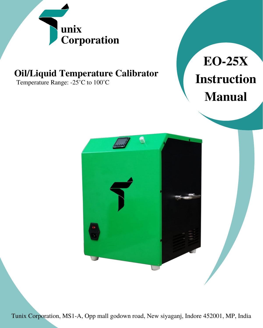

# **Oil/Liquid Temperature Calibrator**

Temperature Range: -25°C to 100°C





Tunix Corporation, MS1-A, Opp mall godown road, New siyaganj, Indore 452001, MP, India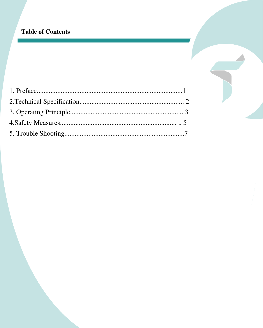## **Table of Contents**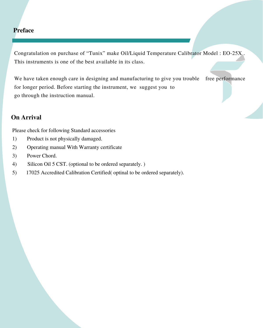## **Preface**

Congratulation on purchase of "Tunix" make Oil/Liquid Temperature Calibrator Model : EO-25X . This instruments is one of the best available in its class.

We have taken enough care in designing and manufacturing to give you trouble free performance for longer period. Before starting the instrument, we suggest you to go through the instruction manual.

## **On Arrival**

Please check for following Standard accessories

- 1) Product is not physically damaged.
- 2) Operating manual With Warranty certificate
- 3) Power Chord.
- 4) Silicon Oil 5 CST. (optional to be ordered separately. )
- 5) 17025 Accredited Calibration Certified( optinal to be ordered separately).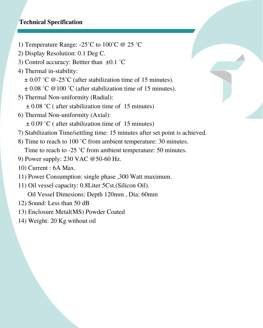#### **Technical Specification**

- 1) Temperature Range:  $-25^{\circ}$ C to  $100^{\circ}$ C @ 25  $^{\circ}$ C
- 2) Display Resolution: 0.1 Deg C.
- 3) Control accuracy: Bettter than ±0.1 ˚C
- 4) Thermal in-stability:
	- $\pm$  0.07 °C @-25°C (after stabilization time of 15 minutes).
	- $\pm$  0.08 °C @100 °C (after stabilization time of 15 minutes).
- 5) Thermal Non-uniformity (Radial):  $\pm$  0.08 °C ( after stabilization time of 15 minutes)
- 6) Thermal Non-uniformity (Axial):  $\pm$  0.09 °C ( after stabilization time of 15 minutes)
- 7) Stabilization Time/settling time: 15 minutes after set point is achieved.
- 8) Time to reach to 100 ˚C from ambient temperature: 30 minutes. Time to reach to -25 °C from ambient temperature: 50 minutes.
- 9) Power supply: 230 VAC @50-60 Hz.
- 10) Current : 6A Max.
- 11) Power Consumption: single phase ,300 Watt maximum.
- 11) Oil vessel capacity: 0.8Liter 5Cst.(Silicon Oil).

Oil Vessel Dimesions: Depth 120mm , Dia: 60mm

- 12) Sound: Less than 50 dB
- 13) Enclosure Metal(MS) Powder Coated
- 14) Weight: 20 Kg without oil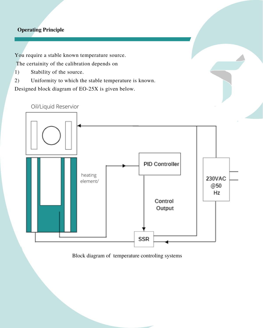#### **Operating Principle**

You require a stable known temperature source.

The certainity of the calibration depends on

- 1) Stability of the source.
- 2) Uniformity to which the stable temperature is known.

Designed block diagram of EO-25X is given below.



Block diagram of temperature controling systems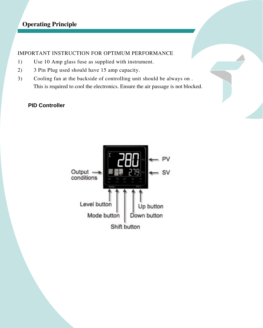## **Operating Principle**

#### IMPORTANT INSTRUCTION FOR OPTIMUM PERFORMANCE

- 1) Use 10 Amp glass fuse as supplied with instrument.
- 2) 3 Pin Plug used should have 15 amp capacity.
- 3) Cooling fan at the backside of controlling unit should be always on . This is required to cool the electronics. Ensure the air passage is not blocked.

#### **PID Controller**

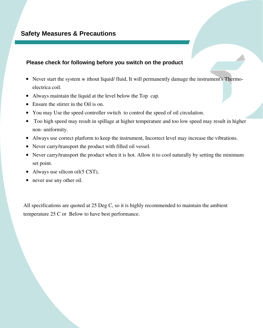#### **Please check for following before you switch on the product**

- Never start the system w ithout liquid/ fluid, It will permanently damage the instrument's Thermoelectrica coil.
- Always maintain the liquid at the level below the Top cap.
- Ensure the stirrer in the Oil is on.
- You may Use the speed controller switch to control the speed of oil circulation.
- Too high speed may result in spillage at higher temperature and too low speed may result in higher non- uniformity.
- Always use correct platform to keep the instrument, Incorrect level may increase the vibrations.
- Never carry/transport the product with filled oil vessel.
- Never carry/transport the product when it is hot. Allow it to cool naturally by setting the minimum set point.
- Always use silicon oil(5 CST),
- never use any other oil.

All specifications are quoted at 25 Deg C, so it is highly recommended to maintain the ambient temperature 25 C or Below to have best performance.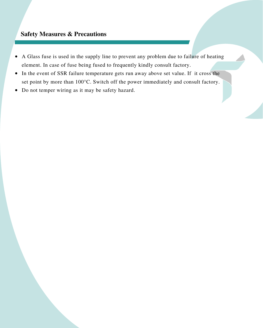#### **Safety Measures & Precautions**

- A Glass fuse is used in the supply line to prevent any problem due to failure of heating element. In case of fuse being fused to frequently kindly consult factory.
- In the event of SSR failure temperature gets run away above set value. If it cross the set point by more than 100°C. Switch off the power immediately and consult factory.
- Do not temper wiring as it may be safety hazard.